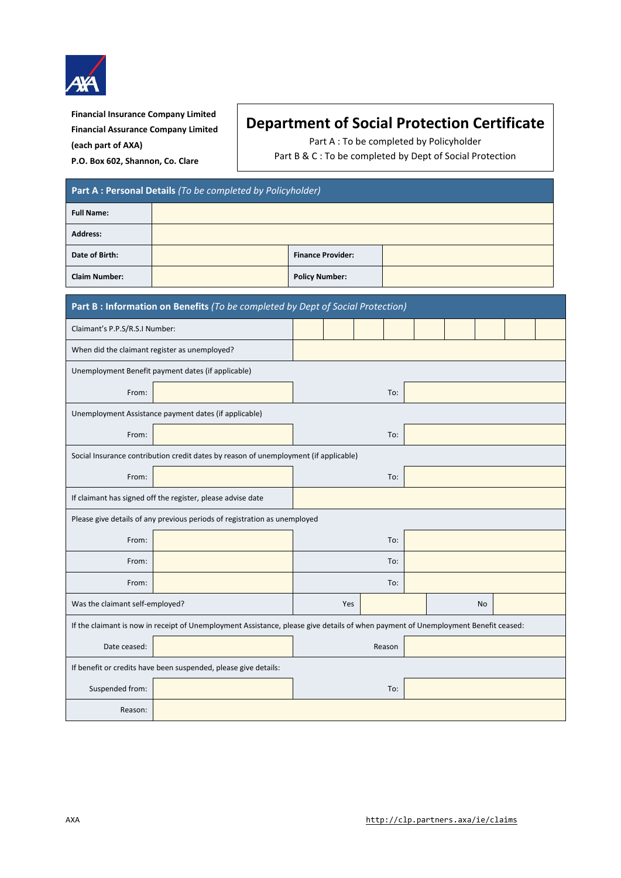

**Financial Insurance Company Limited Financial Assurance Company Limited (each part of AXA) P.O. Box 602, Shannon, Co. Clare**

## **Department of Social Protection Certificate**

Part A : To be completed by Policyholder

Part B & C : To be completed by Dept of Social Protection

| Part A : Personal Details (To be completed by Policyholder)                                                                       |  |                          |     |     |  |  |  |    |  |  |  |
|-----------------------------------------------------------------------------------------------------------------------------------|--|--------------------------|-----|-----|--|--|--|----|--|--|--|
| <b>Full Name:</b>                                                                                                                 |  |                          |     |     |  |  |  |    |  |  |  |
| <b>Address:</b>                                                                                                                   |  |                          |     |     |  |  |  |    |  |  |  |
| Date of Birth:                                                                                                                    |  | <b>Finance Provider:</b> |     |     |  |  |  |    |  |  |  |
| <b>Claim Number:</b>                                                                                                              |  | <b>Policy Number:</b>    |     |     |  |  |  |    |  |  |  |
| Part B : Information on Benefits (To be completed by Dept of Social Protection)                                                   |  |                          |     |     |  |  |  |    |  |  |  |
| Claimant's P.P.S/R.S.I Number:                                                                                                    |  |                          |     |     |  |  |  |    |  |  |  |
| When did the claimant register as unemployed?                                                                                     |  |                          |     |     |  |  |  |    |  |  |  |
| Unemployment Benefit payment dates (if applicable)                                                                                |  |                          |     |     |  |  |  |    |  |  |  |
| From:                                                                                                                             |  | To:                      |     |     |  |  |  |    |  |  |  |
| Unemployment Assistance payment dates (if applicable)                                                                             |  |                          |     |     |  |  |  |    |  |  |  |
| From:                                                                                                                             |  |                          |     | To: |  |  |  |    |  |  |  |
| Social Insurance contribution credit dates by reason of unemployment (if applicable)                                              |  |                          |     |     |  |  |  |    |  |  |  |
| From:                                                                                                                             |  |                          | To: |     |  |  |  |    |  |  |  |
| If claimant has signed off the register, please advise date                                                                       |  |                          |     |     |  |  |  |    |  |  |  |
| Please give details of any previous periods of registration as unemployed                                                         |  |                          |     |     |  |  |  |    |  |  |  |
| From:                                                                                                                             |  |                          | To: |     |  |  |  |    |  |  |  |
| From:                                                                                                                             |  | To:                      |     |     |  |  |  |    |  |  |  |
| From:                                                                                                                             |  | To:                      |     |     |  |  |  |    |  |  |  |
| Was the claimant self-employed?                                                                                                   |  |                          | Yes |     |  |  |  | No |  |  |  |
| If the claimant is now in receipt of Unemployment Assistance, please give details of when payment of Unemployment Benefit ceased: |  |                          |     |     |  |  |  |    |  |  |  |
| Date ceased:                                                                                                                      |  | Reason                   |     |     |  |  |  |    |  |  |  |
| If benefit or credits have been suspended, please give details:                                                                   |  |                          |     |     |  |  |  |    |  |  |  |
| Suspended from:                                                                                                                   |  | To:                      |     |     |  |  |  |    |  |  |  |
| Reason:                                                                                                                           |  |                          |     |     |  |  |  |    |  |  |  |